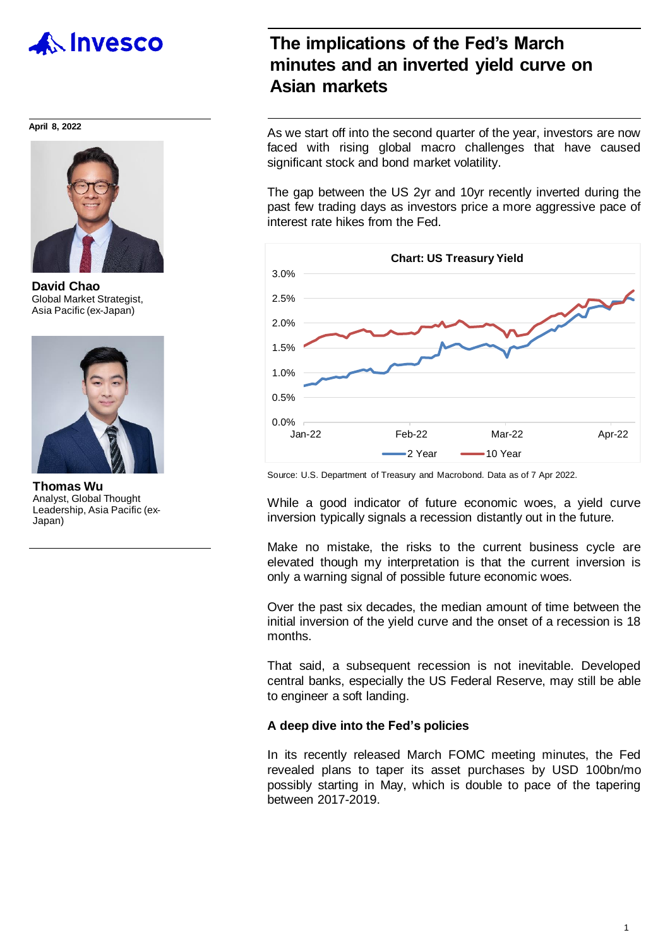

#### **April 8, 2022**



**David Chao** Global Market Strategist, Asia Pacific (ex-Japan)



**Thomas Wu** Analyst, Global Thought Leadership, Asia Pacific (ex-Japan)

### **The implications of the Fed's March minutes and an inverted yield curve on Asian markets**

As we start off into the second quarter of the year, investors are now faced with rising global macro challenges that have caused significant stock and bond market volatility.

The gap between the US 2yr and 10yr recently inverted during the past few trading days as investors price a more aggressive pace of interest rate hikes from the Fed.



Source: U.S. Department of Treasury and Macrobond. Data as of 7 Apr 2022.

While a good indicator of future economic woes, a yield curve inversion typically signals a recession distantly out in the future.

Make no mistake, the risks to the current business cycle are elevated though my interpretation is that the current inversion is only a warning signal of possible future economic woes.

Over the past six decades, the median amount of time between the initial inversion of the yield curve and the onset of a recession is 18 months.

That said, a subsequent recession is not inevitable. Developed central banks, especially the US Federal Reserve, may still be able to engineer a soft landing.

#### **A deep dive into the Fed's policies**

In its recently released March FOMC meeting minutes, the Fed revealed plans to taper its asset purchases by USD 100bn/mo possibly starting in May, which is double to pace of the tapering between 2017-2019.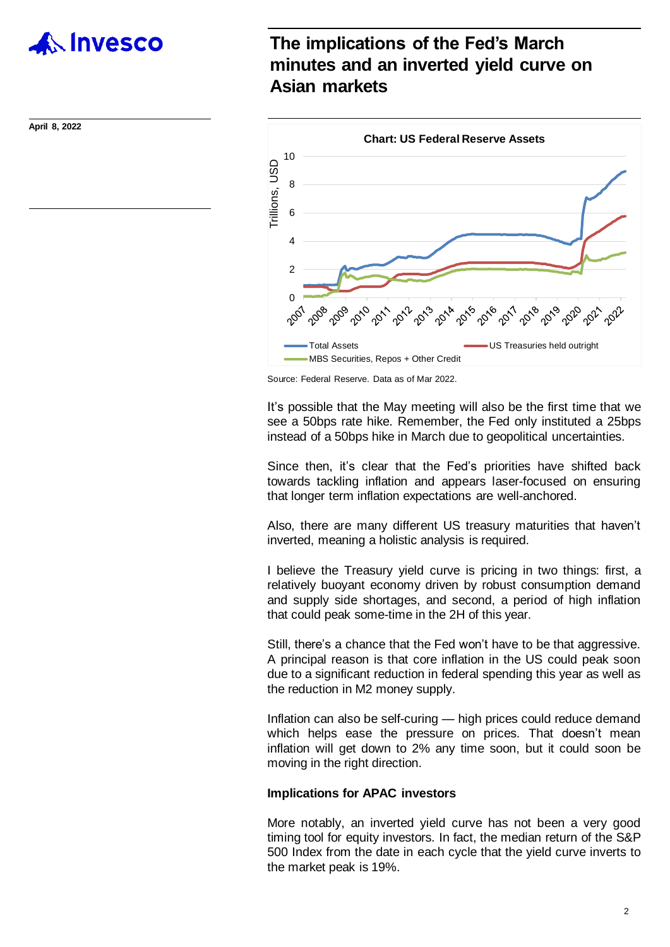

**April 8, 2022**

## **The implications of the Fed's March minutes and an inverted yield curve on Asian markets**



Source: Federal Reserve. Data as of Mar 2022.

It's possible that the May meeting will also be the first time that we see a 50bps rate hike. Remember, the Fed only instituted a 25bps instead of a 50bps hike in March due to geopolitical uncertainties.

Since then, it's clear that the Fed's priorities have shifted back towards tackling inflation and appears laser-focused on ensuring that longer term inflation expectations are well-anchored.

Also, there are many different US treasury maturities that haven't inverted, meaning a holistic analysis is required.

I believe the Treasury yield curve is pricing in two things: first, a relatively buoyant economy driven by robust consumption demand and supply side shortages, and second, a period of high inflation that could peak some-time in the 2H of this year.

Still, there's a chance that the Fed won't have to be that aggressive. A principal reason is that core inflation in the US could peak soon due to a significant reduction in federal spending this year as well as the reduction in M2 money supply.

Inflation can also be self-curing — high prices could reduce demand which helps ease the pressure on prices. That doesn't mean inflation will get down to 2% any time soon, but it could soon be moving in the right direction.

#### **Implications for APAC investors**

More notably, an inverted yield curve has not been a very good timing tool for equity investors. In fact, the median return of the S&P 500 Index from the date in each cycle that the yield curve inverts to the market peak is 19%.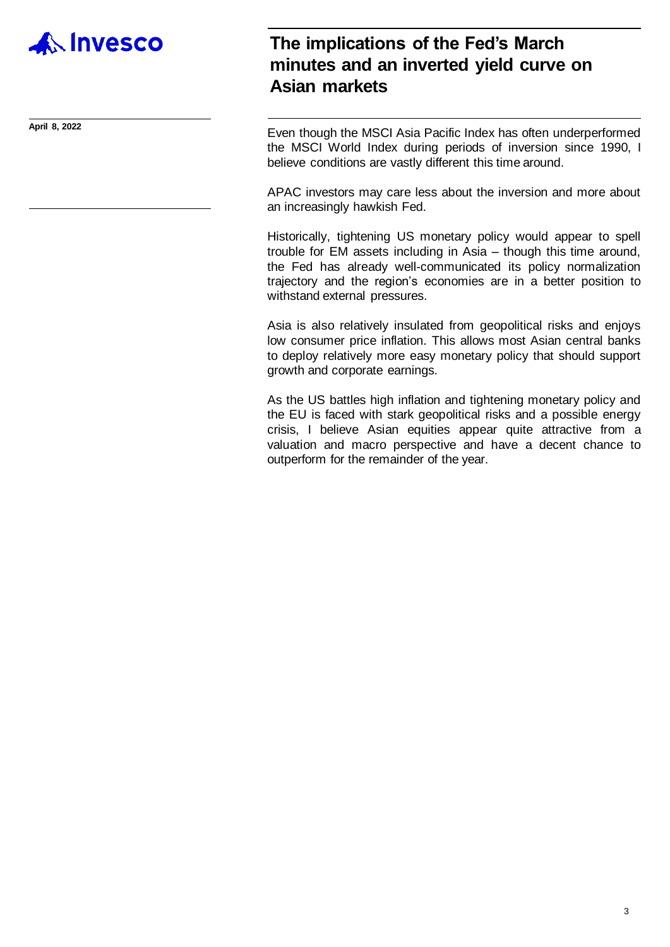

## **The implications of the Fed's March minutes and an inverted yield curve on Asian markets**

**April 8, 2022** Even though the MSCI Asia Pacific Index has often underperformed the MSCI World Index during periods of inversion since 1990, I believe conditions are vastly different this time around.

> APAC investors may care less about the inversion and more about an increasingly hawkish Fed.

> Historically, tightening US monetary policy would appear to spell trouble for EM assets including in Asia – though this time around, the Fed has already well-communicated its policy normalization trajectory and the region's economies are in a better position to withstand external pressures.

> Asia is also relatively insulated from geopolitical risks and enjoys low consumer price inflation. This allows most Asian central banks to deploy relatively more easy monetary policy that should support growth and corporate earnings.

> As the US battles high inflation and tightening monetary policy and the EU is faced with stark geopolitical risks and a possible energy crisis, I believe Asian equities appear quite attractive from a valuation and macro perspective and have a decent chance to outperform for the remainder of the year.